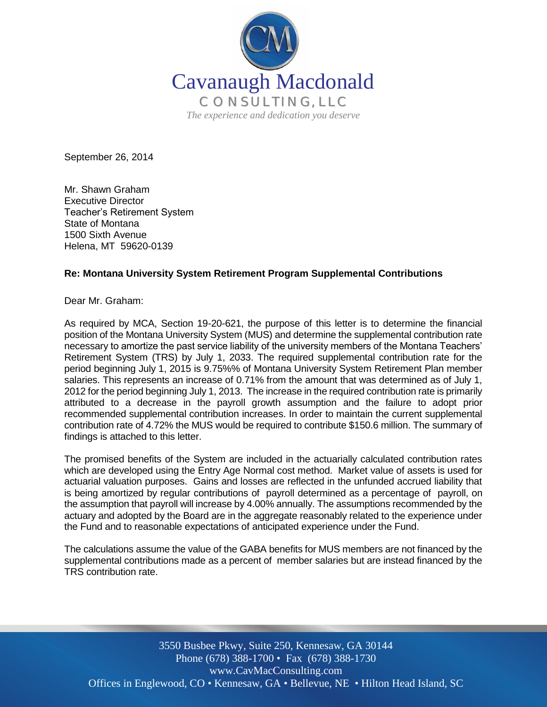

September 26, 2014

Mr. Shawn Graham Executive Director Teacher's Retirement System State of Montana 1500 Sixth Avenue Helena, MT 59620-0139

#### **Re: Montana University System Retirement Program Supplemental Contributions**

Dear Mr. Graham:

As required by MCA, Section 19-20-621, the purpose of this letter is to determine the financial position of the Montana University System (MUS) and determine the supplemental contribution rate necessary to amortize the past service liability of the university members of the Montana Teachers' Retirement System (TRS) by July 1, 2033. The required supplemental contribution rate for the period beginning July 1, 2015 is 9.75%% of Montana University System Retirement Plan member salaries. This represents an increase of 0.71% from the amount that was determined as of July 1, 2012 for the period beginning July 1, 2013. The increase in the required contribution rate is primarily attributed to a decrease in the payroll growth assumption and the failure to adopt prior recommended supplemental contribution increases. In order to maintain the current supplemental contribution rate of 4.72% the MUS would be required to contribute \$150.6 million. The summary of findings is attached to this letter.

The promised benefits of the System are included in the actuarially calculated contribution rates which are developed using the Entry Age Normal cost method. Market value of assets is used for actuarial valuation purposes. Gains and losses are reflected in the unfunded accrued liability that is being amortized by regular contributions of payroll determined as a percentage of payroll, on the assumption that payroll will increase by 4.00% annually. The assumptions recommended by the actuary and adopted by the Board are in the aggregate reasonably related to the experience under the Fund and to reasonable expectations of anticipated experience under the Fund.

The calculations assume the value of the GABA benefits for MUS members are not financed by the supplemental contributions made as a percent of member salaries but are instead financed by the TRS contribution rate.

Offices in Englewood, CO • Kennesaw, GA • Bellevue, NE • Hilton Head Island, SC 3550 Busbee Pkwy, Suite 250, Kennesaw, GA 30144 Phone (678) 388-1700 • Fax (678) 388-1730 www.CavMacConsulting.com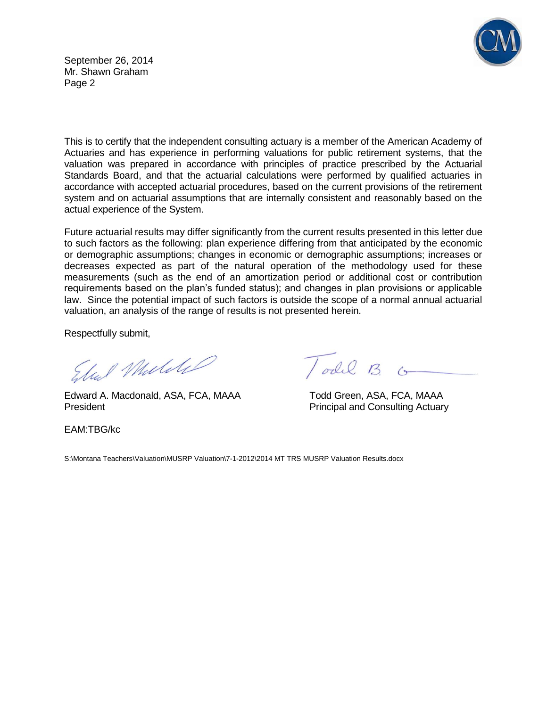September 26, 2014 Mr. Shawn Graham Page 2



This is to certify that the independent consulting actuary is a member of the American Academy of Actuaries and has experience in performing valuations for public retirement systems, that the valuation was prepared in accordance with principles of practice prescribed by the Actuarial Standards Board, and that the actuarial calculations were performed by qualified actuaries in accordance with accepted actuarial procedures, based on the current provisions of the retirement system and on actuarial assumptions that are internally consistent and reasonably based on the actual experience of the System.

Future actuarial results may differ significantly from the current results presented in this letter due to such factors as the following: plan experience differing from that anticipated by the economic or demographic assumptions; changes in economic or demographic assumptions; increases or decreases expected as part of the natural operation of the methodology used for these measurements (such as the end of an amortization period or additional cost or contribution requirements based on the plan's funded status); and changes in plan provisions or applicable law. Since the potential impact of such factors is outside the scope of a normal annual actuarial valuation, an analysis of the range of results is not presented herein.

Respectfully submit,

Elul Mulike

Edward A. Macdonald, ASA, FCA, MAAA Todd Green, ASA, FCA, MAAA President **President** President **Principal and Consulting Actuary** 

EAM:TBG/kc

Todil B. G

S:\Montana Teachers\Valuation\MUSRP Valuation\7-1-2012\2014 MT TRS MUSRP Valuation Results.docx